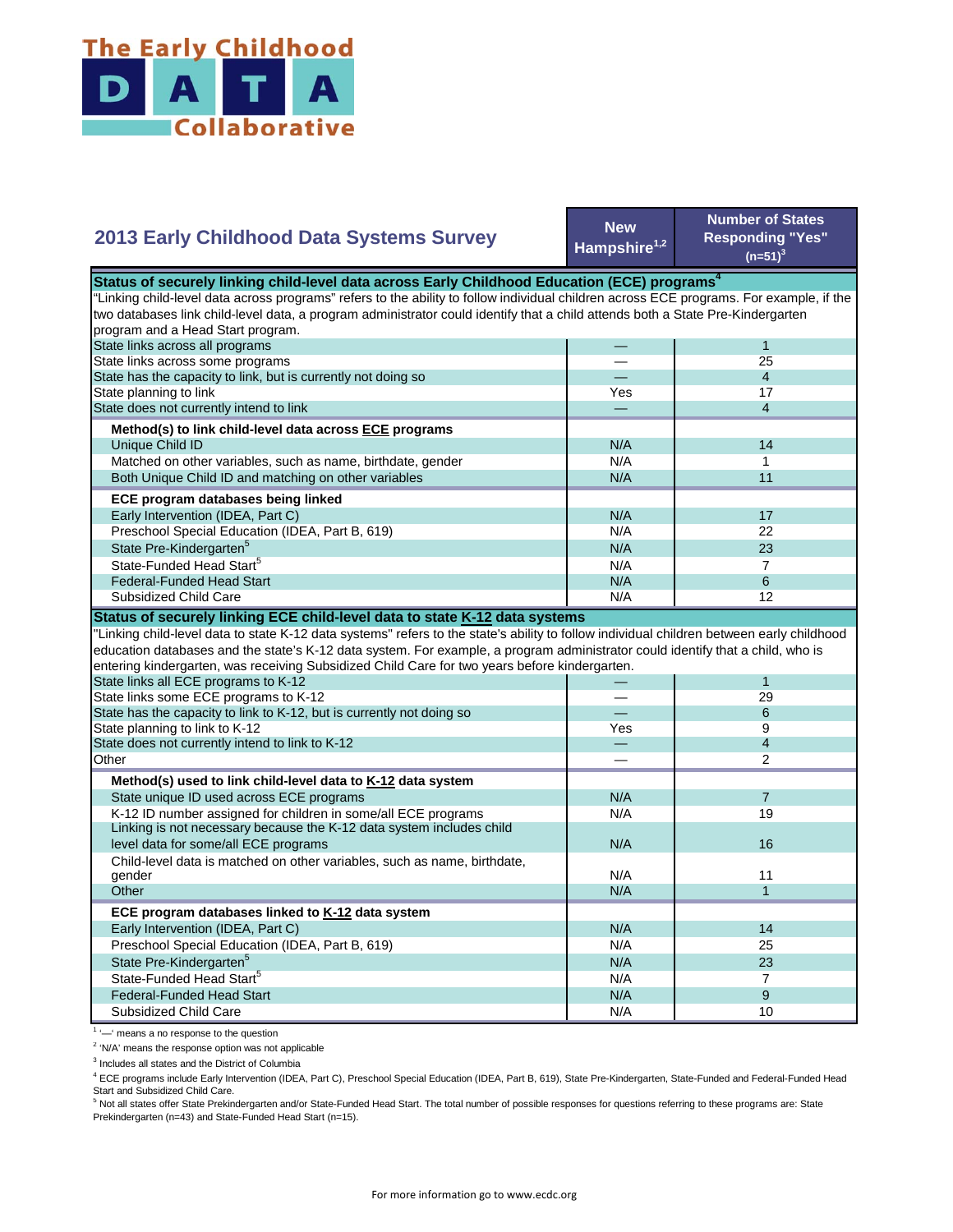

## **2013 Early Childhood Data Systems Survey**

**New Hampshire1,2**

**Number of States Responding "Yes"**   $(n=51)^3$ 

|                                                                                                                                           | Status of securely linking child-level data across Early Childhood Education (ECE) programs <sup>4</sup> |                |  |  |
|-------------------------------------------------------------------------------------------------------------------------------------------|----------------------------------------------------------------------------------------------------------|----------------|--|--|
| "Linking child-level data across programs" refers to the ability to follow individual children across ECE programs. For example, if the   |                                                                                                          |                |  |  |
| two databases link child-level data, a program administrator could identify that a child attends both a State Pre-Kindergarten            |                                                                                                          |                |  |  |
| program and a Head Start program.                                                                                                         |                                                                                                          |                |  |  |
| State links across all programs                                                                                                           |                                                                                                          | $\mathbf{1}$   |  |  |
| State links across some programs                                                                                                          |                                                                                                          | 25             |  |  |
| State has the capacity to link, but is currently not doing so                                                                             |                                                                                                          | $\overline{4}$ |  |  |
| State planning to link                                                                                                                    | Yes                                                                                                      | 17             |  |  |
| State does not currently intend to link                                                                                                   |                                                                                                          | $\overline{4}$ |  |  |
| Method(s) to link child-level data across ECE programs                                                                                    |                                                                                                          |                |  |  |
| Unique Child ID                                                                                                                           | N/A                                                                                                      | 14             |  |  |
| Matched on other variables, such as name, birthdate, gender                                                                               | N/A                                                                                                      | 1              |  |  |
| Both Unique Child ID and matching on other variables                                                                                      | N/A                                                                                                      | 11             |  |  |
| ECE program databases being linked                                                                                                        |                                                                                                          |                |  |  |
| Early Intervention (IDEA, Part C)                                                                                                         | N/A                                                                                                      | 17             |  |  |
| Preschool Special Education (IDEA, Part B, 619)                                                                                           | N/A                                                                                                      | 22             |  |  |
| State Pre-Kindergarten <sup>5</sup>                                                                                                       | N/A                                                                                                      | 23             |  |  |
| State-Funded Head Start <sup>5</sup>                                                                                                      | N/A                                                                                                      | $\overline{7}$ |  |  |
| <b>Federal-Funded Head Start</b>                                                                                                          | N/A                                                                                                      | 6              |  |  |
| Subsidized Child Care                                                                                                                     | N/A                                                                                                      | 12             |  |  |
| Status of securely linking ECE child-level data to state K-12 data systems                                                                |                                                                                                          |                |  |  |
| "Linking child-level data to state K-12 data systems" refers to the state's ability to follow individual children between early childhood |                                                                                                          |                |  |  |
| education databases and the state's K-12 data system. For example, a program administrator could identify that a child, who is            |                                                                                                          |                |  |  |
| entering kindergarten, was receiving Subsidized Child Care for two years before kindergarten.                                             |                                                                                                          |                |  |  |
| State links all ECE programs to K-12                                                                                                      |                                                                                                          | $\mathbf{1}$   |  |  |
| State links some ECE programs to K-12                                                                                                     |                                                                                                          | 29             |  |  |
| State has the capacity to link to K-12, but is currently not doing so                                                                     |                                                                                                          | 6              |  |  |
| State planning to link to K-12                                                                                                            | Yes                                                                                                      |                |  |  |
| State does not currently intend to link to K-12                                                                                           |                                                                                                          | 9              |  |  |
|                                                                                                                                           |                                                                                                          | $\overline{4}$ |  |  |
| Other                                                                                                                                     |                                                                                                          | 2              |  |  |
|                                                                                                                                           |                                                                                                          |                |  |  |
| Method(s) used to link child-level data to K-12 data system                                                                               |                                                                                                          | $\overline{7}$ |  |  |
| State unique ID used across ECE programs                                                                                                  | N/A                                                                                                      | 19             |  |  |
| K-12 ID number assigned for children in some/all ECE programs                                                                             | N/A                                                                                                      |                |  |  |
| Linking is not necessary because the K-12 data system includes child<br>level data for some/all ECE programs                              | N/A                                                                                                      | 16             |  |  |
|                                                                                                                                           |                                                                                                          |                |  |  |
| Child-level data is matched on other variables, such as name, birthdate,<br>gender                                                        | N/A                                                                                                      | 11             |  |  |
| Other                                                                                                                                     | N/A                                                                                                      | $\mathbf{1}$   |  |  |
| ECE program databases linked to K-12 data system                                                                                          |                                                                                                          |                |  |  |
| Early Intervention (IDEA, Part C)                                                                                                         | N/A                                                                                                      | 14             |  |  |
| Preschool Special Education (IDEA, Part B, 619)                                                                                           | N/A                                                                                                      | 25             |  |  |
|                                                                                                                                           | N/A                                                                                                      | 23             |  |  |
| State Pre-Kindergarten <sup>5</sup><br>State-Funded Head Start <sup>5</sup>                                                               | N/A                                                                                                      | $\overline{7}$ |  |  |
| <b>Federal-Funded Head Start</b>                                                                                                          | N/A                                                                                                      | 9              |  |  |

<sup>1</sup> '-' means a no response to the question

<sup>2</sup> 'N/A' means the response option was not applicable

<sup>3</sup> Includes all states and the District of Columbia

<sup>4</sup> ECE programs include Early Intervention (IDEA, Part C), Preschool Special Education (IDEA, Part B, 619), State Pre-Kindergarten, State-Funded and Federal-Funded Head

Start and Subsidized Child Care.<br><sup>5</sup> Not all states offer State Prekindergarten and/or State-Funded Head Start. The total number of possible responses for questions referring to these programs are: State Prekindergarten (n=43) and State-Funded Head Start (n=15).